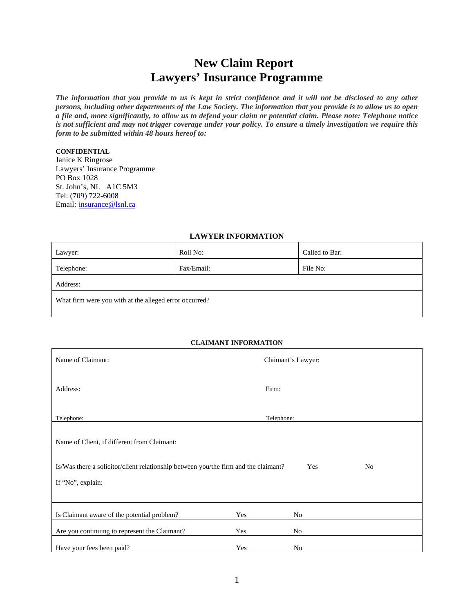# **New Claim Report Lawyers' Insurance Programme**

*The information that you provide to us is kept in strict confidence and it will not be disclosed to any other persons, including other departments of the Law Society. The information that you provide is to allow us to open a file and, more significantly, to allow us to defend your claim or potential claim. Please note: Telephone notice is not sufficient and may not trigger coverage under your policy. To ensure a timely investigation we require this form to be submitted within 48 hours hereof to:* 

#### **CONFIDENTIAL**

Janice K Ringrose Lawyers' Insurance Programme PO Box 1028 St. John's, NL A1C 5M3 Tel: (709) 722-6008 Email: insurance@lsnl.ca

#### **LAWYER INFORMATION**

| Lawyer:                                                | Roll No:   | Called to Bar: |  |  |  |
|--------------------------------------------------------|------------|----------------|--|--|--|
| Telephone:                                             | Fax/Email: | File No:       |  |  |  |
| Address:                                               |            |                |  |  |  |
| What firm were you with at the alleged error occurred? |            |                |  |  |  |

#### **CLAIMANT INFORMATION**

| Name of Claimant:                                                                                |            | Claimant's Lawyer: |  |  |
|--------------------------------------------------------------------------------------------------|------------|--------------------|--|--|
| Address:                                                                                         | Firm:      |                    |  |  |
|                                                                                                  |            |                    |  |  |
| Telephone:                                                                                       | Telephone: |                    |  |  |
| Name of Client, if different from Claimant:                                                      |            |                    |  |  |
| Is/Was there a solicitor/client relationship between you/the firm and the claimant?<br>Yes<br>No |            |                    |  |  |
| If "No", explain:                                                                                |            |                    |  |  |
|                                                                                                  |            |                    |  |  |
| Is Claimant aware of the potential problem?                                                      | Yes        | No                 |  |  |
| Are you continuing to represent the Claimant?                                                    | Yes        | No                 |  |  |
| Have your fees been paid?                                                                        | Yes        | No                 |  |  |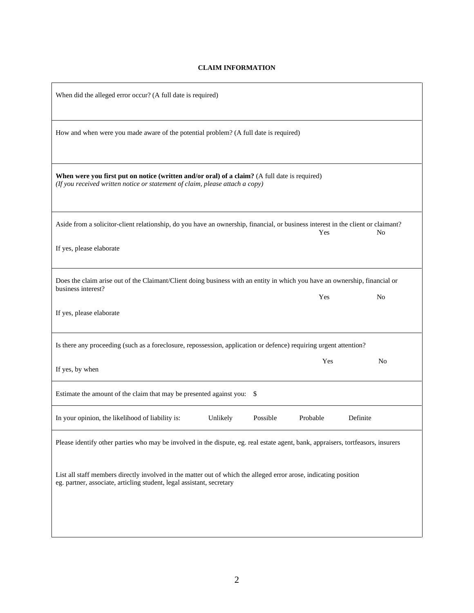## **CLAIM INFORMATION**

| When did the alleged error occur? (A full date is required)                                                                                                                               |  |  |  |  |  |  |
|-------------------------------------------------------------------------------------------------------------------------------------------------------------------------------------------|--|--|--|--|--|--|
| How and when were you made aware of the potential problem? (A full date is required)                                                                                                      |  |  |  |  |  |  |
| When were you first put on notice (written and/or oral) of a claim? (A full date is required)<br>(If you received written notice or statement of claim, please attach a copy)             |  |  |  |  |  |  |
| Aside from a solicitor-client relationship, do you have an ownership, financial, or business interest in the client or claimant?<br>No<br>Yes                                             |  |  |  |  |  |  |
| If yes, please elaborate                                                                                                                                                                  |  |  |  |  |  |  |
| Does the claim arise out of the Claimant/Client doing business with an entity in which you have an ownership, financial or<br>business interest?<br>Yes<br>N <sub>0</sub>                 |  |  |  |  |  |  |
| If yes, please elaborate                                                                                                                                                                  |  |  |  |  |  |  |
| Is there any proceeding (such as a foreclosure, repossession, application or defence) requiring urgent attention?                                                                         |  |  |  |  |  |  |
| Yes<br>N <sub>0</sub><br>If yes, by when                                                                                                                                                  |  |  |  |  |  |  |
| Estimate the amount of the claim that may be presented against you: \$                                                                                                                    |  |  |  |  |  |  |
| In your opinion, the likelihood of liability is:<br>Unlikely<br>Possible<br>Probable<br>Definite                                                                                          |  |  |  |  |  |  |
| Please identify other parties who may be involved in the dispute, eg. real estate agent, bank, appraisers, tortfeasors, insurers                                                          |  |  |  |  |  |  |
| List all staff members directly involved in the matter out of which the alleged error arose, indicating position<br>eg. partner, associate, articling student, legal assistant, secretary |  |  |  |  |  |  |
|                                                                                                                                                                                           |  |  |  |  |  |  |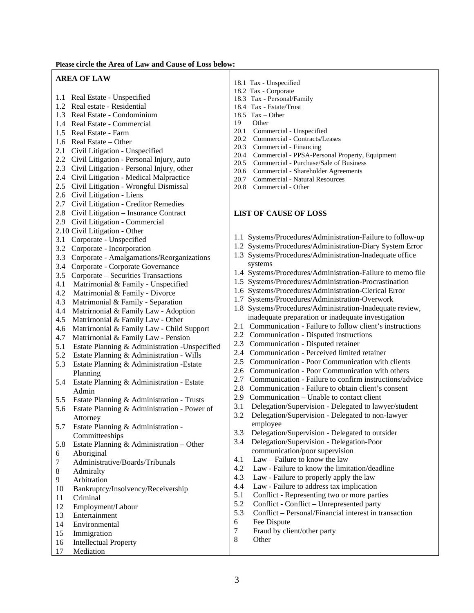#### **Please circle the Area of Law and Cause of Loss below:**

#### **AREA OF LAW**

- 1.1 Real Estate Unspecified
- 1.2 Real estate Residential
- 1.3 Real Estate Condominium
- 1.4 Real Estate Commercial
- 1.5 Real Estate Farm
- 1.6 Real Estate Other
- 2.1 Civil Litigation Unspecified
- 2.2 Civil Litigation Personal Injury, auto
- 2.3 Civil Litigation Personal Injury, other
- 2.4 Civil Litigation Medical Malpractice
- 2.5 Civil Litigation Wrongful Dismissal
- 2.6 Civil Litigation Liens
- 2.7 Civil Litigation Creditor Remedies
- 2.8 Civil Litigation Insurance Contract
- 2.9 Civil Litigation Commercial
- 2.10 Civil Litigation Other
- 3.1 Corporate Unspecified
- 3.2 Corporate Incorporation
- 3.3 Corporate Amalgamations/Reorganizations
- 3.4 Corporate Corporate Governance
- 3.5 Corporate Securities Transactions
- 4.1 Matrirnonial & Family Unspecified
- 4.2 Matrirnonial & Family Divorce
- 4.3 Matrimonial & Family Separation
- 4.4 Matrirnonial & Family Law Adoption
- 4.5 Matrirnonial & Family Law Other
- 4.6 Matrirnonial & Family Law Child Support
- 4.7 Matrirnonial & Family Law Pension
- 5.1 Estate Planning & Administration -Unspecified
- 5.2 Estate Planning & Administration Wills
- 5.3 Estate Planning & Administration -Estate Planning
- 5.4 Estate Planning & Administration Estate Admin
- 5.5 Estate Planning & Administration Trusts
- 5.6 Estate Planning & Administration Power of Attorney
- 5.7 Estate Planning & Administration Committeeships
- 5.8 Estate Planning & Administration Other
- 6 Aboriginal
- 7 Administrative/Boards/Tribunals
- 8 Admiralty
- 9 Arbitration
- 10 Bankruptcy/Insolvency/Receivership
- 11 Criminal
- 12 Employment/Labour
- 13 Entertainment
- 14 Environmental
- 15 Immigration
- 16 Intellectual Property
- 17 Mediation
- 18.1 Tax Unspecified
- 18.2 Tax Corporate
- 18.3 Tax Personal/Family
- 18.4 Tax Estate/Trust
- 18.5 Tax Other
- 19 Other
- 20.1 Commercial Unspecified
- 20.2 Commercial Contracts/Leases
- 20.3 Commercial Financing
- 20.4 Commercial PPSA-Personal Property, Equipment
- 20.5 Commercial Purchase/Sale of Business
- 20.6 Commercial Shareholder Agreements<br>20.7 Commercial Natural Resources
- 20.7 Commercial Natural Resources
- 20.8 Commercial Other

## **LIST OF CAUSE OF LOSS**

- 1.1 Systems/Procedures/Administration-Failure to follow-up
- 1.2 Systems/Procedures/Administration-Diary System Error
- 1.3 Systems/Procedures/Administration-Inadequate office systems
- 1.4 Systems/Procedures/Administration-Failure to memo file
- 1.5 Systems/Procedures/Administration-Procrastination
- 1.6 Systems/Procedures/Administration-Clerical Error
- 1.7 Systems/Procedures/Administration-Overwork
- 1.8 Systems/Procedures/Administration-Inadequate review, inadequate preparation or inadequate investigation
- 2.1 Communication Failure to follow client's instructions
- 2.2 Communication Disputed instructions
- 2.3 Communication Disputed retainer
- 2.4 Communication Perceived limited retainer
- 2.5 Communication Poor Communication with clients
- 2.6 Communication Poor Communication with others
- 2.7 Communication Failure to confirm instructions/advice
- 2.8 Communication Failure to obtain client's consent
- 2.9 Communication Unable to contact client
- 3.1 Delegation/Supervision Delegated to lawyer/student
- 3.2 Delegation/Supervision Delegated to non-lawyer employee
- 3.3 Delegation/Supervision Delegated to outsider
- 3.4 Delegation/Supervision Delegation-Poor communication/poor supervision
- 4.1 Law Failure to know the law
- 4.2 Law Failure to know the limitation/deadline
- 4.3 Law Failure to properly apply the law
- 4.4 Law Failure to address tax implication
- 5.1 Conflict Representing two or more parties
- 5.2 Conflict Conflict Unrepresented party
- 5.3 Conflict Personal/Financial interest in transaction
- 6 Fee Dispute
- 7 Fraud by client/other party
- 8 Other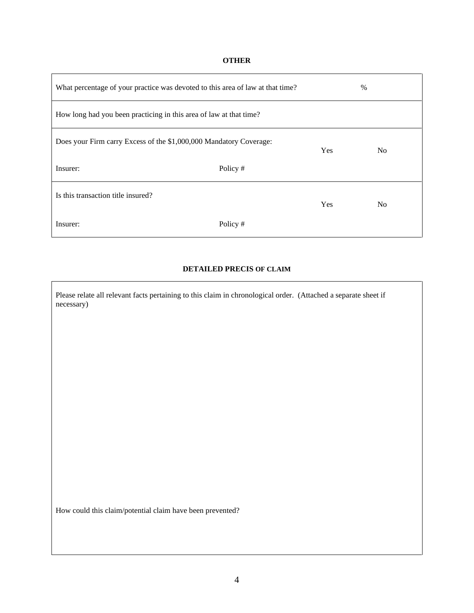## **OTHER**

| What percentage of your practice was devoted to this area of law at that time? |          | $\%$       |                |  |
|--------------------------------------------------------------------------------|----------|------------|----------------|--|
| How long had you been practicing in this area of law at that time?             |          |            |                |  |
| Does your Firm carry Excess of the \$1,000,000 Mandatory Coverage:             |          | <b>Yes</b> | N <sub>0</sub> |  |
| Insurer:                                                                       | Policy # |            |                |  |
| Is this transaction title insured?                                             |          | Yes        | N <sub>0</sub> |  |
| Insurer:                                                                       | Policy # |            |                |  |

## **DETAILED PRECIS OF CLAIM**

Please relate all relevant facts pertaining to this claim in chronological order. (Attached a separate sheet if necessary)

How could this claim/potential claim have been prevented?